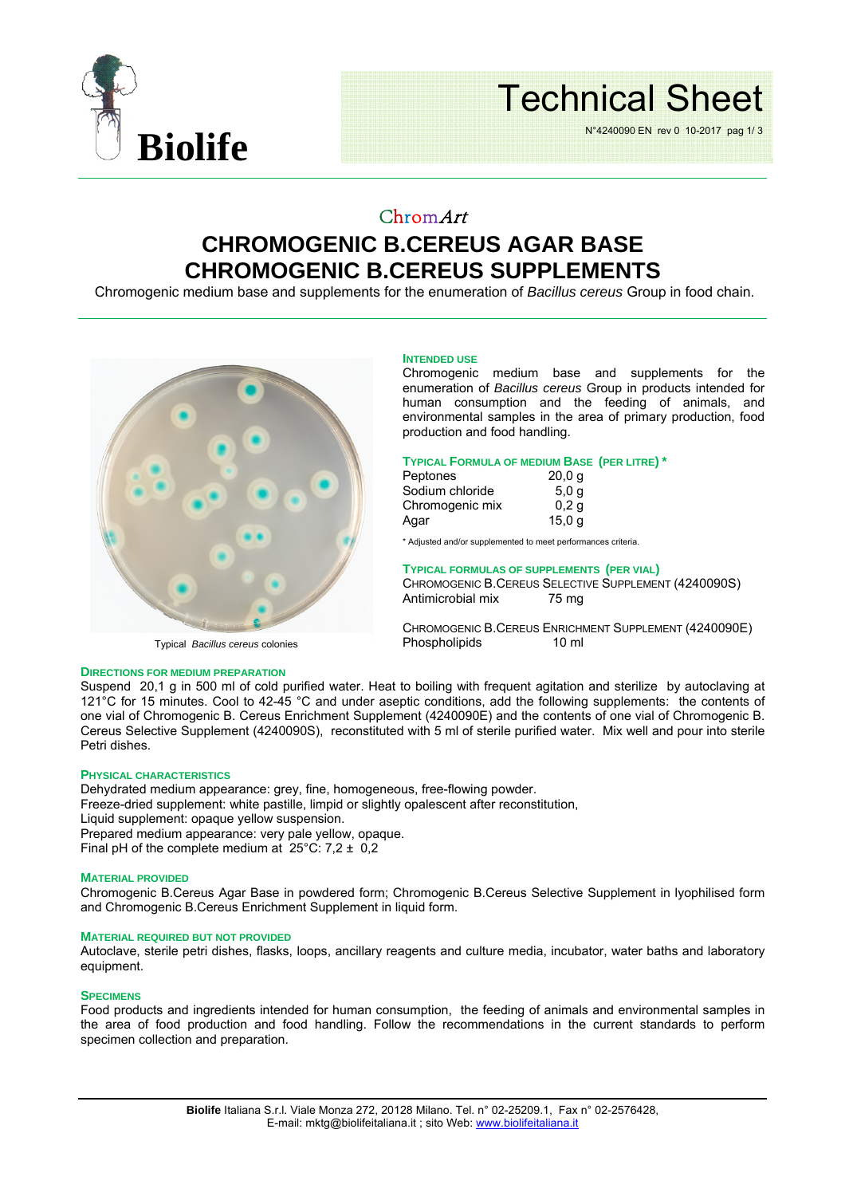

# Technical Sheet

N°4240090 EN rev 0 10-2017 pag 1/ 3

### ChromArt **CHROMOGENIC B.CEREUS AGAR BASE CHROMOGENIC B.CEREUS SUPPLEMENTS**

Chromogenic medium base and supplements for the enumeration of *Bacillus cereus* Group in food chain.



#### **INTENDED USE**

Chromogenic medium base and supplements for the enumeration of *Bacillus cereus* Group in products intended for human consumption and the feeding of animals, and environmental samples in the area of primary production, food production and food handling.

#### **TYPICAL FORMULA OF MEDIUM BASE (PER LITRE) \***

| Peptones        | 20,0q            |
|-----------------|------------------|
| Sodium chloride | 5.0 <sub>q</sub> |
| Chromogenic mix | 0.2 <sub>q</sub> |
| Agar            | 15,0 g           |

\* Adjusted and/or supplemented to meet performances criteria.

#### **TYPICAL FORMULAS OF SUPPLEMENTS (PER VIAL)**

CHROMOGENIC B.CEREUS SELECTIVE SUPPLEMENT (4240090S) Antimicrobial mix 75 mg

CHROMOGENIC B.CEREUS ENRICHMENT SUPPLEMENT (4240090E)<br>Phospholipids 10 ml Phospholipids

#### **DIRECTIONS FOR MEDIUM PREPARATION**

Suspend 20,1 g in 500 ml of cold purified water. Heat to boiling with frequent agitation and sterilize by autoclaving at 121°C for 15 minutes. Cool to 42-45 °C and under aseptic conditions, add the following supplements: the contents of one vial of Chromogenic B. Cereus Enrichment Supplement (4240090E) and the contents of one vial of Chromogenic B. Cereus Selective Supplement (4240090S), reconstituted with 5 ml of sterile purified water. Mix well and pour into sterile Petri dishes.

#### **PHYSICAL CHARACTERISTICS**

Dehydrated medium appearance: grey, fine, homogeneous, free-flowing powder.

Freeze-dried supplement: white pastille, limpid or slightly opalescent after reconstitution,

Liquid supplement: opaque yellow suspension.

Prepared medium appearance: very pale yellow, opaque.

Final pH of the complete medium at  $25^{\circ}$ C: 7,2  $\pm$  0,2

#### **MATERIAL PROVIDED**

Chromogenic B.Cereus Agar Base in powdered form; Chromogenic B.Cereus Selective Supplement in lyophilised form and Chromogenic B.Cereus Enrichment Supplement in liquid form.

#### **MATERIAL REQUIRED BUT NOT PROVIDED**

Autoclave, sterile petri dishes, flasks, loops, ancillary reagents and culture media, incubator, water baths and laboratory equipment.

#### **SPECIMENS**

Food products and ingredients intended for human consumption, the feeding of animals and environmental samples in the area of food production and food handling. Follow the recommendations in the current standards to perform specimen collection and preparation.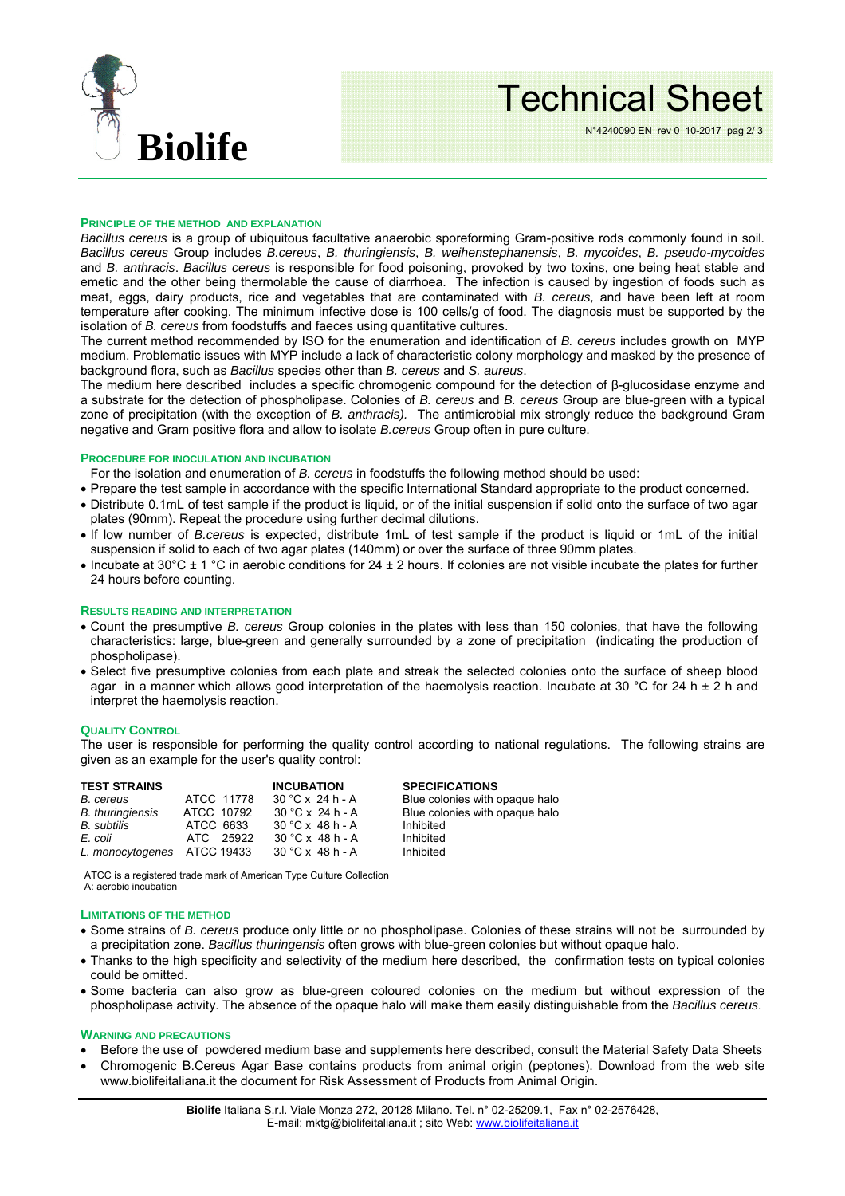

### Technical Sheet

N°4240090 EN rev 0 10-2017 pag 2/ 3

#### **PRINCIPLE OF THE METHOD AND EXPLANATION**

*Bacillus cereus* is a group of ubiquitous facultative anaerobic sporeforming Gram-positive rods commonly found in soil*. Bacillus cereus* Group includes *B.cereus*, *B. thuringiensis*, *B. weihenstephanensis*, *B. mycoides*, *B. pseudo-mycoides* and *B. anthracis*. *Bacillus cereus* is responsible for food poisoning, provoked by two toxins, one being heat stable and emetic and the other being thermolable the cause of diarrhoea. The infection is caused by ingestion of foods such as meat, eggs, dairy products, rice and vegetables that are contaminated with *B. cereus,* and have been left at room temperature after cooking. The minimum infective dose is 100 cells/g of food. The diagnosis must be supported by the isolation of *B. cereus* from foodstuffs and faeces using quantitative cultures.

The current method recommended by ISO for the enumeration and identification of *B. cereus* includes growth on MYP medium. Problematic issues with MYP include a lack of characteristic colony morphology and masked by the presence of background flora, such as *Bacillus* species other than *B. cereus* and *S. aureus*.

The medium here described includes a specific chromogenic compound for the detection of β-glucosidase enzyme and a substrate for the detection of phospholipase. Colonies of *B. cereus* and *B. cereus* Group are blue-green with a typical zone of precipitation (with the exception of *B. anthracis).* The antimicrobial mix strongly reduce the background Gram negative and Gram positive flora and allow to isolate *B.cereus* Group often in pure culture.

#### **PROCEDURE FOR INOCULATION AND INCUBATION**

For the isolation and enumeration of *B. cereus* in foodstuffs the following method should be used:

- Prepare the test sample in accordance with the specific International Standard appropriate to the product concerned.
- Distribute 0.1mL of test sample if the product is liquid, or of the initial suspension if solid onto the surface of two agar plates (90mm). Repeat the procedure using further decimal dilutions.
- If low number of *B.cereus* is expected, distribute 1mL of test sample if the product is liquid or 1mL of the initial suspension if solid to each of two agar plates (140mm) or over the surface of three 90mm plates.
- Incubate at 30 $^{\circ}$ C ± 1  $^{\circ}$ C in aerobic conditions for 24 ± 2 hours. If colonies are not visible incubate the plates for further 24 hours before counting.

#### **RESULTS READING AND INTERPRETATION**

- Count the presumptive *B. cereus* Group colonies in the plates with less than 150 colonies, that have the following characteristics: large, blue-green and generally surrounded by a zone of precipitation (indicating the production of phospholipase).
- Select five presumptive colonies from each plate and streak the selected colonies onto the surface of sheep blood agar in a manner which allows good interpretation of the haemolysis reaction. Incubate at 30 °C for 24 h  $\pm$  2 h and interpret the haemolysis reaction.

#### **QUALITY CONTROL**

The user is responsible for performing the quality control according to national regulations. The following strains are given as an example for the user's quality control:

| <b>TEST STRAINS</b>         |            | <b>INCUBATION</b>       | <b>SPECIFICATIONS</b>          |
|-----------------------------|------------|-------------------------|--------------------------------|
| B. cereus                   | ATCC 11778 | $30 °C \times 24 h - A$ | Blue colonies with opaque halo |
| <b>B.</b> thuringiensis     | ATCC 10792 | $30 °C \times 24 h - A$ | Blue colonies with opaque halo |
| B. subtilis                 | ATCC 6633  | $30 °C \times 48 h - A$ | Inhibited                      |
| E. coli                     | ATC 25922  | $30 °C \times 48 h - A$ | Inhibited                      |
| L. monocytogenes ATCC 19433 |            | $30 °C \times 48 h - A$ | Inhibited                      |

ATCC is a registered trade mark of American Type Culture Collection A: aerobic incubation

#### **LIMITATIONS OF THE METHOD**

- Some strains of *B. cereus* produce only little or no phospholipase. Colonies of these strains will not be surrounded by a precipitation zone. *Bacillus thuringensis* often grows with blue-green colonies but without opaque halo.
- Thanks to the high specificity and selectivity of the medium here described, the confirmation tests on typical colonies could be omitted.
- Some bacteria can also grow as blue-green coloured colonies on the medium but without expression of the phospholipase activity. The absence of the opaque halo will make them easily distinguishable from the *Bacillus cereus*.

#### **WARNING AND PRECAUTIONS**

- Before the use of powdered medium base and supplements here described, consult the Material Safety Data Sheets
- Chromogenic B.Cereus Agar Base contains products from animal origin (peptones). Download from the web site www.biolifeitaliana.it the document for Risk Assessment of Products from Animal Origin.